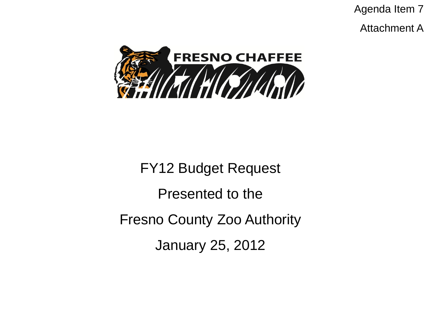Agenda Item 7

Attachment A



FY12 Budget Request Presented to the Fresno County Zoo Authority January 25, 2012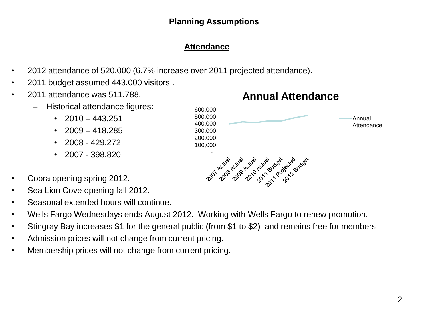### **Planning Assumptions**

## **Attendance**

- 2012 attendance of 520,000 (6.7% increase over 2011 projected attendance).
- 2011 budget assumed 443,000 visitors .
- 2011 attendance was 511,788.
	- Historical attendance figures:
		- $2010 443,251$
		- $2009 418,285$
		- $\cdot$  2008 429,272
		- 2007 398,820
- Cobra opening spring 2012.
- Sea Lion Cove opening fall 2012.
- Seasonal extended hours will continue.
- Wells Fargo Wednesdays ends August 2012. Working with Wells Fargo to renew promotion.
- Stingray Bay increases \$1 for the general public (from \$1 to \$2) and remains free for members.
- Admission prices will not change from current pricing.
- Membership prices will not change from current pricing.



# **Annual Attendance**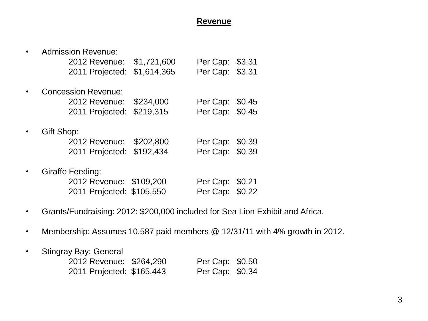#### **Revenue**

| <b>Admission Revenue:</b>  |             |                 |        |
|----------------------------|-------------|-----------------|--------|
| 2012 Revenue:              | \$1,721,600 | Per Cap:        | \$3.31 |
| 2011 Projected:            | \$1,614,365 | Per Cap: \$3.31 |        |
| <b>Concession Revenue:</b> |             |                 |        |
| 2012 Revenue:              | \$234,000   | Per Cap: \$0.45 |        |
| 2011 Projected:            | \$219,315   | Per Cap: \$0.45 |        |
| Gift Shop:                 |             |                 |        |
| 2012 Revenue:              | \$202,800   | Per Cap: \$0.39 |        |
| 2011 Projected:            | \$192,434   | Per Cap: \$0.39 |        |
| Giraffe Feeding:           |             |                 |        |
| 2012 Revenue: \$109,200    |             | Per Cap:        | \$0.21 |
| 2011 Projected: \$105,550  |             | Per Cap:        | \$0.22 |

- Grants/Fundraising: 2012: \$200,000 included for Sea Lion Exhibit and Africa.
- Membership: Assumes 10,587 paid members @ 12/31/11 with 4% growth in 2012.
- Stingray Bay: General

| 2012 Revenue: \$264,290   | Per Cap: \$0.50 |  |
|---------------------------|-----------------|--|
| 2011 Projected: \$165,443 | Per Cap: \$0.34 |  |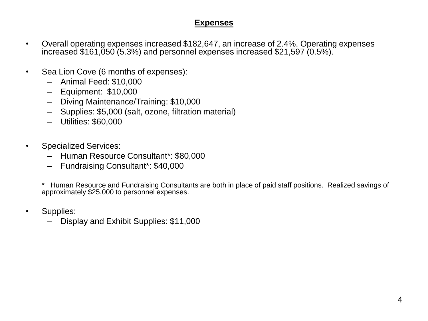#### **Expenses**

- Overall operating expenses increased \$182,647, an increase of 2.4%. Operating expenses increased \$161,050 (5.3%) and personnel expenses increased \$21,597 (0.5%).
- Sea Lion Cove (6 months of expenses):
	- Animal Feed: \$10,000
	- Equipment: \$10,000
	- Diving Maintenance/Training: \$10,000
	- Supplies: \$5,000 (salt, ozone, filtration material)
	- Utilities: \$60,000
- Specialized Services:
	- Human Resource Consultant\*: \$80,000
	- Fundraising Consultant\*: \$40,000

\* Human Resource and Fundraising Consultants are both in place of paid staff positions. Realized savings of approximately \$25,000 to personnel expenses.

- Supplies:
	- Display and Exhibit Supplies: \$11,000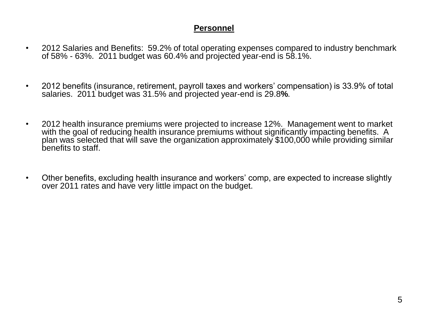#### **Personnel**

- 2012 Salaries and Benefits: 59.2% of total operating expenses compared to industry benchmark of 58% - 63%. 2011 budget was 60.4% and projected year-end is 58.1%.
- 2012 benefits (insurance, retirement, payroll taxes and workers' compensation) is 33.9% of total salaries. 2011 budget was 31.5% and projected year-end is 29.8**%**.
- 2012 health insurance premiums were projected to increase 12%. Management went to market with the goal of reducing health insurance premiums without significantly impacting benefits. A plan was selected that will save the organization approximately \$100,000 while providing similar benefits to staff.
- Other benefits, excluding health insurance and workers' comp, are expected to increase slightly over 2011 rates and have very little impact on the budget.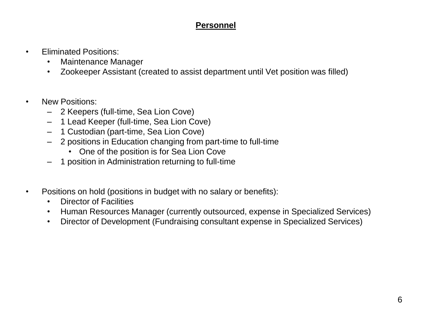#### **Personnel**

- Eliminated Positions:
	- Maintenance Manager
	- Zookeeper Assistant (created to assist department until Vet position was filled)
- New Positions:
	- 2 Keepers (full-time, Sea Lion Cove)
	- 1 Lead Keeper (full-time, Sea Lion Cove)
	- 1 Custodian (part-time, Sea Lion Cove)
	- 2 positions in Education changing from part-time to full-time
		- One of the position is for Sea Lion Cove
	- 1 position in Administration returning to full-time
- Positions on hold (positions in budget with no salary or benefits):
	- Director of Facilities
	- Human Resources Manager (currently outsourced, expense in Specialized Services)
	- Director of Development (Fundraising consultant expense in Specialized Services)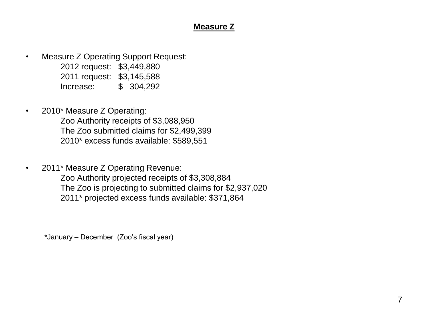#### **Measure Z**

- Measure Z Operating Support Request: 2012 request: \$3,449,880 2011 request: \$3,145,588 Increase: \$ 304,292
- 2010\* Measure Z Operating: Zoo Authority receipts of \$3,088,950 The Zoo submitted claims for \$2,499,399 2010\* excess funds available: \$589,551
- 2011\* Measure Z Operating Revenue: Zoo Authority projected receipts of \$3,308,884 The Zoo is projecting to submitted claims for \$2,937,020 2011\* projected excess funds available: \$371,864

\*January – December (Zoo's fiscal year)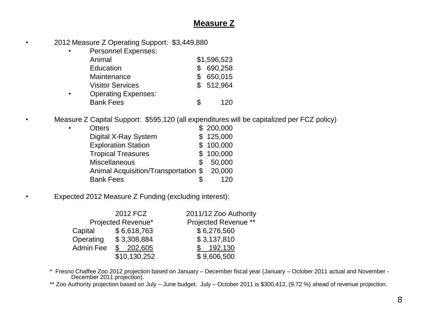#### **Measure Z**

- 2012 Measure Z Operating Support: \$3,449,880
	- Personnel Expenses: Animal \$1,596,523 Education **\$ 690,258** Maintenance \$ 650,015 Visitor Services  $$512,964$ • Operating Expenses: Bank Fees \$ 120

• Measure Z Capital Support: \$595,120 (all expenditures will be capitalized per FCZ policy)

| $\bullet$ | <b>Otters</b>                              |   | \$200,000 |
|-----------|--------------------------------------------|---|-----------|
|           | Digital X-Ray System                       |   | \$125,000 |
|           | <b>Exploration Station</b>                 |   | \$100,000 |
|           | <b>Tropical Treasures</b>                  |   | \$100,000 |
|           | <b>Miscellaneous</b>                       | S | 50,000    |
|           | Animal Acquisition/Transportation \$20,000 |   |           |
|           | <b>Bank Fees</b>                           |   | 120       |

• Expected 2012 Measure Z Funding (excluding interest):

|           | 2012 FCZ           | 2011/12 Zoo Authority       |
|-----------|--------------------|-----------------------------|
|           | Projected Revenue* | <b>Projected Revenue **</b> |
| Capital   | \$6,618,763        | \$6,276,560                 |
| Operating | \$3,308,884        | \$3,137,810                 |
| Admin Fee | \$202,605          | 192,130                     |
|           | \$10,130,252       | \$9,606,500                 |

\* Fresno Chaffee Zoo 2012 projection based on January – December fiscal year (January – October 2011 actual and November - December 2011 projection).

\*\* Zoo Authority projection based on July – June budget. July – October 2011 is \$300,412, (9.72 %) ahead of revenue projection.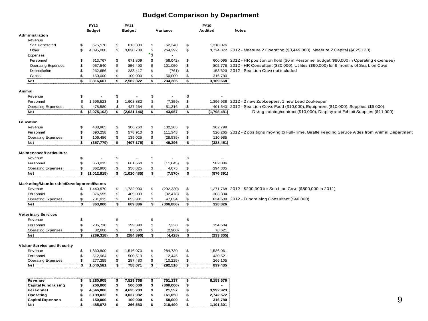#### **Budget Comparison by Department**

|                                         |                | FY12          | FY11              |                         |            | <b>FY10</b>       |                                                                                                      |
|-----------------------------------------|----------------|---------------|-------------------|-------------------------|------------|-------------------|------------------------------------------------------------------------------------------------------|
|                                         |                | <b>Budget</b> | <b>Budget</b>     |                         | Variance   | Audited           | <b>Notes</b>                                                                                         |
| Administration                          |                |               |                   |                         |            |                   |                                                                                                      |
| Revenue                                 |                |               |                   |                         |            |                   |                                                                                                      |
| Self Generated                          | \$             | 675,570       | \$<br>613,330     | \$                      | 62,240     | \$<br>1,318,076   |                                                                                                      |
| Other                                   | \$             | 4,095,000     | \$<br>3,830,708   | $\mathfrak{S}$          | 264,292    | \$                | 3,724,872 2012 - Measure Z Operating (\$3,449,880), Measure Z Capital (\$625,120)                    |
| Expenses                                |                |               |                   | $\mathbf{r}_\mathsf{S}$ |            |                   |                                                                                                      |
| Personnel                               | \$             | 613,767       | \$<br>671,809     | \$                      | (58, 042)  | \$                | 600,095 2012 - HR position on hold (\$0 in Personnel budget, \$80,000 in Operating expenses)         |
| <b>Operating Expenses</b>               | \$             | 957,540       | \$<br>856,490     | \$                      | 101,050    | \$                | 802,776 2012 - HR Consultant (\$80,000), Utilites (\$60,000) for 6 months of Sea Lion Cove           |
| Depreciation                            | \$             | 232,656       | \$<br>233,417     | \$                      | (761)      | \$                | 153,629 2012 - Sea Lion Cove not included                                                            |
| Capital                                 | \$             | 150,000       | \$<br>100,000     | \$                      | 50,000     | \$<br>316,780     |                                                                                                      |
| <b>Net</b>                              | \$             | 2,816,607     | \$<br>2,582,322   | \$                      | 234,285    | \$<br>3,169,668   |                                                                                                      |
|                                         |                |               |                   |                         |            |                   |                                                                                                      |
| Animal                                  |                |               |                   |                         |            |                   |                                                                                                      |
| Revenue                                 | \$             |               | \$                | \$                      |            | \$                |                                                                                                      |
| Personnel                               | \$             | 1,596,523     | \$<br>1,603,882   | \$                      | (7, 359)   | \$                | 1,396,938 2012 - 2 new Zookeepers, 1 new Lead Zookeeper                                              |
| <b>Operating Expenses</b>               | \$             | 478,580       | \$<br>427,264     | \$                      | 51,316     | \$                | 401,543 2012 - Sea Lion Cove: Food (\$10,000), Equipment (\$10,000), Supplies (\$5,000),             |
| <b>Net</b>                              | \$             | (2,075,103)   | \$<br>(2,031,146) | \$                      | 43,957     | \$<br>(1,798,481) | Diving training/contract (\$10,000), Display and Exhibit Supplies (\$11,000)                         |
|                                         |                |               |                   |                         |            |                   |                                                                                                      |
| Education                               |                |               |                   |                         |            |                   |                                                                                                      |
| Revenue                                 | \$             | 438,965       | \$<br>306,760     | \$                      | 132,205    | \$<br>302,799     |                                                                                                      |
| Personnel                               | \$             | 690,258       | \$<br>578,910     | \$                      | 111,348    | \$                | 520,265 2012 - 2 positions moving to Full-Time, Giraffe Feeding Service Aides from Animal Department |
| <b>Operating Expenses</b>               | \$             | 106,486       | \$<br>135,025     | \$                      | (28, 539)  | \$<br>110,985     |                                                                                                      |
| <b>Net</b>                              | \$             | (357, 779)    | \$<br>(407, 175)  | \$                      | 49,396     | \$<br>(328, 451)  |                                                                                                      |
|                                         |                |               |                   |                         |            |                   |                                                                                                      |
| Maintenance/Horticulture                |                |               |                   |                         |            |                   |                                                                                                      |
| Revenue                                 | \$             |               | \$                | \$                      |            | \$                |                                                                                                      |
| Personnel                               | \$             | 650,015       | \$<br>661,660     | \$                      | (11, 645)  | \$<br>582,086     |                                                                                                      |
| <b>Operating Expenses</b>               | $\mathfrak{s}$ | 362,900       | \$<br>358,825     | \$                      | 4,075      | \$<br>294,305     |                                                                                                      |
| Net                                     | \$             | (1,012,915)   | \$<br>(1,020,485) | \$                      | (7,570)    | \$<br>(876, 391)  |                                                                                                      |
|                                         |                |               |                   |                         |            |                   |                                                                                                      |
| Marketing/Membership/Development/Events |                |               |                   |                         |            |                   |                                                                                                      |
| Revenue                                 | \$             | 1,440,570     | \$<br>1,732,900   | \$                      | (292, 330) | \$                | 1,271,768 2012 - \$200,000 for Sea Lion Cove (\$500,000 in 2011)                                     |
| Personnel                               | \$             | 376,555       | \$<br>409,033     | \$                      | (32, 478)  | \$<br>308,334     |                                                                                                      |
| <b>Operating Expenses</b>               | \$             | 701,015       | \$<br>653,981     | \$                      | 47,034     | \$                | 634,608 2012 - Fundraising Consultant (\$40,000)                                                     |
| Net                                     | \$             | 363,000       | \$<br>669,886     | \$                      | (306, 886) | \$<br>328,826     |                                                                                                      |
|                                         |                |               |                   |                         |            |                   |                                                                                                      |
| <b>Veterinary Services</b>              |                |               |                   |                         |            |                   |                                                                                                      |
| Revenue                                 | \$             |               | \$                | \$                      |            | \$                |                                                                                                      |
| Personnel                               | \$             | 206,718       | \$<br>199,390     | \$                      | 7,328      | \$<br>154,684     |                                                                                                      |
| <b>Operating Expenses</b>               | \$             | 82,600        | \$<br>85,500      | \$                      | (2,900)    | \$<br>78,621      |                                                                                                      |
| Net                                     | \$             | (289, 318)    | \$<br>(284, 890)  | \$                      | (4, 428)   | \$<br>(233, 305)  |                                                                                                      |
|                                         |                |               |                   |                         |            |                   |                                                                                                      |
| Visitor Service and Security            |                |               |                   |                         |            |                   |                                                                                                      |
| Revenue                                 | \$             | 1,830,800     | \$<br>1,546,070   | \$                      | 284,730    | \$<br>1,536,061   |                                                                                                      |
| Personnel                               | \$             | 512,964       | \$<br>500,519     | \$                      | 12,445     | \$<br>430,521     |                                                                                                      |
| <b>Operating Expenses</b>               | \$             | 277,255       | \$<br>287,480     | \$                      | (10, 225)  | \$<br>266,105     |                                                                                                      |
| <b>Net</b>                              | \$             | 1,040,581     | \$<br>758,071     | \$                      | 282,510    | \$<br>839,435     |                                                                                                      |
|                                         |                |               |                   |                         |            |                   |                                                                                                      |
|                                         |                |               |                   |                         |            |                   |                                                                                                      |
| Revenue                                 | \$             | 8,280,905     | \$<br>7,529,768   | \$                      | 751,137    | \$<br>8,153,576   |                                                                                                      |
| <b>Capital Fundraising</b>              | \$             | 200,000       | \$<br>500,000     | \$                      | (300,000)  | \$                |                                                                                                      |
| Personnel                               | \$             | 4,646,800     | \$<br>4,625,203   | \$                      | 21,597     | \$<br>3,992,923   |                                                                                                      |
| Operating                               | \$             | 3,199,032     | \$<br>3,037,982   | \$                      | 161,050    | \$<br>2,742,572   |                                                                                                      |
| <b>Capital Expenses</b>                 | \$             | 150,000       | \$<br>100,000     | \$                      | 50,000     | \$<br>316,780     | 9                                                                                                    |
| Net                                     | \$             | 485.073       | \$<br>266,583     | \$                      | 218,490    | \$<br>1,101,301   |                                                                                                      |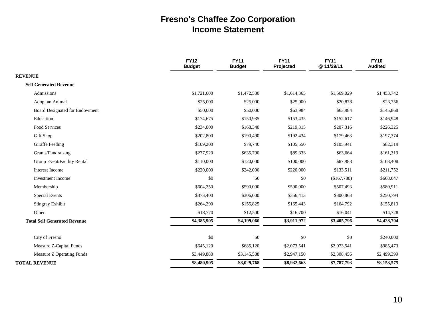### **Fresno's Chaffee Zoo Corporation Income Statement**

|                                     | <b>FY12</b><br><b>Budget</b> | <b>FY11</b><br><b>Budget</b> | <b>FY11</b><br>Projected | <b>FY11</b><br>@11/29/11 | <b>FY10</b><br>Audited   |
|-------------------------------------|------------------------------|------------------------------|--------------------------|--------------------------|--------------------------|
| <b>REVENUE</b>                      |                              |                              |                          |                          |                          |
| <b>Self Generated Revenue</b>       |                              |                              |                          |                          |                          |
| Admissions                          | \$1,721,600                  | \$1,472,530                  | \$1,614,365              | \$1,569,029              | \$1,453,742              |
| Adopt an Animal                     | \$25,000                     | \$25,000                     | \$25,000                 | \$20,878                 | \$23,756                 |
| Board Designated for Endowment      | \$50,000                     | \$50,000                     | \$63,984                 | \$63,984                 | \$145,868                |
| Education                           | \$174,675                    | \$150,935                    | \$153,435                | \$152,617                | \$146,948                |
| Food Services                       | \$234,000                    | \$168,340                    | \$219,315                | \$207,316                | \$226,325                |
| Gift Shop                           | \$202,800                    | \$190,490                    | \$192,434                | \$179,463                | \$197,374                |
| Giraffe Feeding                     | \$109,200                    | \$79,740                     | \$105,550                | \$105,941                | \$82,319                 |
| Grants/Fundraising                  | \$277,920                    | \$635,700                    | \$89,333                 | \$63,664                 | \$161,319                |
| Group Event/Facility Rental         | \$110,000                    | \$120,000                    | \$100,000                | \$87,983                 | \$108,408                |
| Interest Income                     | \$220,000                    | \$242,000                    | \$220,000                | \$133,511                | \$211,752                |
| <b>Investment</b> Income            | \$0                          | \$0                          | \$0                      | (\$167,780)              | \$668,647                |
| Membership                          | \$604,250                    | \$590,000                    | \$590,000                | \$507,493                | \$580,911                |
| <b>Special Events</b>               | \$373,400                    | \$306,000                    | \$356,413                | \$300,863                | \$250,794                |
| Stingray Exhibit                    | \$264,290                    | \$155,825                    | \$165,443                | \$164,792                | \$155,813                |
| Other                               | \$18,770                     | \$12,500                     | \$16,700                 | \$16,041                 | \$14,728                 |
| <b>Total Self Generated Revenue</b> | \$4,385,905                  | \$4,199,060                  | \$3,911,972              | \$3,405,796              | \$4,428,704              |
| City of Fresno                      | \$0                          | \$0                          | \$0                      | \$0                      | \$240,000                |
| Measure Z-Capital Funds             | \$645,120                    | \$685,120                    | \$2,073,541              | \$2,073,541              | \$985,473                |
| Measure Z Operating Funds           | \$3,449,880                  | \$3,145,588                  | \$2,947,150              | \$2,308,456              | \$2,499,399              |
| <b>TOTAL REVENUE</b>                | \$8,480,905                  | \$8,029,768                  | \$8,932,663              | \$7,787,793              | $\overline{\$8,153,575}$ |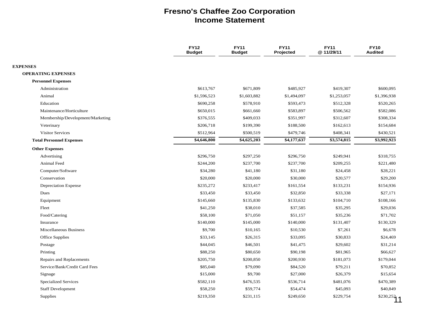#### **Fresno's Chaffee Zoo Corporation Income Statement**

|                                             | <b>FY12</b><br><b>Budget</b> | <b>FY11</b><br><b>Budget</b> | <b>FY11</b><br>Projected | <b>FY11</b><br>@11/29/11 | <b>FY10</b><br><b>Audited</b> |
|---------------------------------------------|------------------------------|------------------------------|--------------------------|--------------------------|-------------------------------|
|                                             |                              |                              |                          |                          |                               |
| <b>EXPENSES</b>                             |                              |                              |                          |                          |                               |
| <b>OPERATING EXPENSES</b>                   |                              |                              |                          |                          |                               |
| <b>Personnel Expenses</b><br>Administration | \$613,767                    | \$671,809                    | \$485,927                | \$419,307                | \$600,095                     |
| Animal                                      | \$1,596,523                  |                              |                          |                          |                               |
| Education                                   |                              | \$1,603,882                  | \$1,494,097              | \$1,253,057              | \$1,396,938                   |
| Maintenance/Horticulture                    | \$690,258                    | \$578,910                    | \$593,473                | \$512,328                | \$520,265                     |
|                                             | \$650,015                    | \$661,660                    | \$583,897                | \$506,562                | \$582,086                     |
| Membership/Development/Marketing            | \$376,555                    | \$409,033                    | \$351,997                | \$312,607                | \$308,334                     |
| Veterinary                                  | \$206,718                    | \$199,390                    | \$188,500                | \$162,613                | \$154,684                     |
| <b>Visitor Services</b>                     | \$512,964                    | \$500,519                    | \$479,746                | \$408,341                | \$430,521                     |
| <b>Total Personnel Expenses</b>             | \$4,646,800                  | \$4,625,203                  | \$4,177,637              | \$3,574,815              | \$3,992,923                   |
| <b>Other Expenses</b>                       |                              |                              |                          |                          |                               |
| Advertising                                 | \$296,750                    | \$297,250                    | \$296,750                | \$249,941                | \$318,755                     |
| <b>Animal Feed</b>                          | \$244,200                    | \$237,700                    | \$237,700                | \$209,255                | \$221,480                     |
| Computer/Software                           | \$34,280                     | \$41,180                     | \$31,180                 | \$24,458                 | \$28,221                      |
| Conservation                                | \$20,000                     | \$20,000                     | \$30,000                 | \$20,577                 | \$29,200                      |
| <b>Depreciation Expense</b>                 | \$235,272                    | \$233,417                    | \$161,554                | \$133,231                | \$154,936                     |
| Dues                                        | \$33,450                     | \$33,450                     | \$32,850                 | \$33,338                 | \$27,171                      |
| Equipment                                   | \$145,660                    | \$135,830                    | \$133,632                | \$104,710                | \$108,166                     |
| Fleet                                       | \$41,250                     | \$38,010                     | \$37,585                 | \$35,295                 | \$29,036                      |
| Food/Catering                               | \$58,100                     | \$71,050                     | \$51,157                 | \$35,236                 | \$71,702                      |
| Insurance                                   | \$140,000                    | \$145,000                    | \$140,000                | \$131,407                | \$130,329                     |
| <b>Miscellaneous Business</b>               | \$9,700                      | \$10,165                     | \$10,530                 | \$7,261                  | \$6,678                       |
| Office Supplies                             | \$33,145                     | \$26,315                     | \$33,095                 | \$30,833                 | \$24,469                      |
| Postage                                     | \$44,045                     | \$46,501                     | \$41,475                 | \$29,602                 | \$31,214                      |
| Printing                                    | \$88,250                     | \$80,650                     | \$90,198                 | \$81,965                 | \$66,627                      |
| Repairs and Replacements                    | \$205,750                    | \$200,850                    | \$200,930                | \$181,073                | \$179,044                     |
| Service/Bank/Credit Card Fees               | \$85,040                     | \$79,090                     | \$84,520                 | \$79,211                 | \$70,852                      |
| Signage                                     | \$15,000                     | \$9,700                      | \$27,000                 | \$26,379                 | \$15,654                      |
| <b>Specialized Services</b>                 | \$582,110                    | \$476,535                    | \$536,714                | \$481,076                | \$470,389                     |
| <b>Staff Development</b>                    | \$58,250                     | \$59,774                     | \$54,474                 | \$45,093                 | \$40,849                      |
| Supplies                                    | \$219,350                    | \$231,115                    | \$249,650                | \$229,754                | \$230,252                     |
|                                             |                              |                              |                          |                          |                               |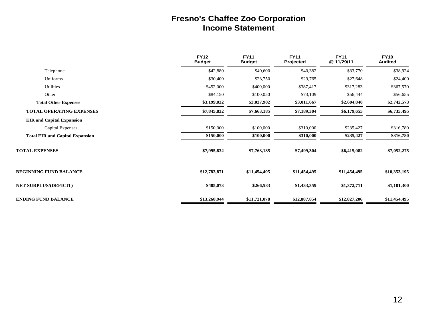#### **Fresno's Chaffee Zoo Corporation Income Statement**

|                                        | <b>FY12</b><br><b>Budget</b> | <b>FY11</b><br><b>Budget</b> | <b>FY11</b><br>Projected | <b>FY11</b><br>@11/29/11 | <b>FY10</b><br><b>Audited</b> |
|----------------------------------------|------------------------------|------------------------------|--------------------------|--------------------------|-------------------------------|
| Telephone                              | \$42,880                     | \$40,600                     | \$40,382                 | \$33,770                 | \$38,924                      |
| Uniforms                               | \$30,400                     | \$23,750                     | \$29,765                 | \$27,648                 | \$24,400                      |
| <b>Utilities</b>                       | \$452,000                    | \$400,000                    | \$387,417                | \$317,283                | \$367,570                     |
| Other                                  | \$84,150                     | \$100,050                    | \$73,109                 | \$56,444                 | \$56,655                      |
| <b>Total Other Expenses</b>            | \$3,199,032                  | \$3,037,982                  | \$3,011,667              | \$2,604,840              | \$2,742,573                   |
| <b>TOTAL OPERATING EXPENSES</b>        | \$7,845,832                  | \$7,663,185                  | \$7,189,304              | \$6,179,655              | \$6,735,495                   |
| <b>EIR and Capital Expansion</b>       |                              |                              |                          |                          |                               |
| Capital Expenses                       | \$150,000                    | \$100,000                    | \$310,000                | \$235,427                | \$316,780                     |
| <b>Total EIR and Capital Expansion</b> | \$150,000                    | \$100,000                    | \$310,000                | \$235,427                | \$316,780                     |
| <b>TOTAL EXPENSES</b>                  | \$7,995,832                  | \$7,763,185                  | \$7,499,304              | \$6,415,082              | \$7,052,275                   |
| <b>BEGINNING FUND BALANCE</b>          | \$12,783,871                 | \$11,454,495                 | \$11,454,495             | \$11,454,495             | \$10,353,195                  |
| <b>NET SURPLUS/(DEFICIT)</b>           | \$485,073                    | \$266,583                    | \$1,433,359              | \$1,372,711              | \$1,101,300                   |
| <b>ENDING FUND BALANCE</b>             | \$13,268,944                 | \$11,721,078                 | \$12,887,854             | \$12,827,206             | \$11,454,495                  |